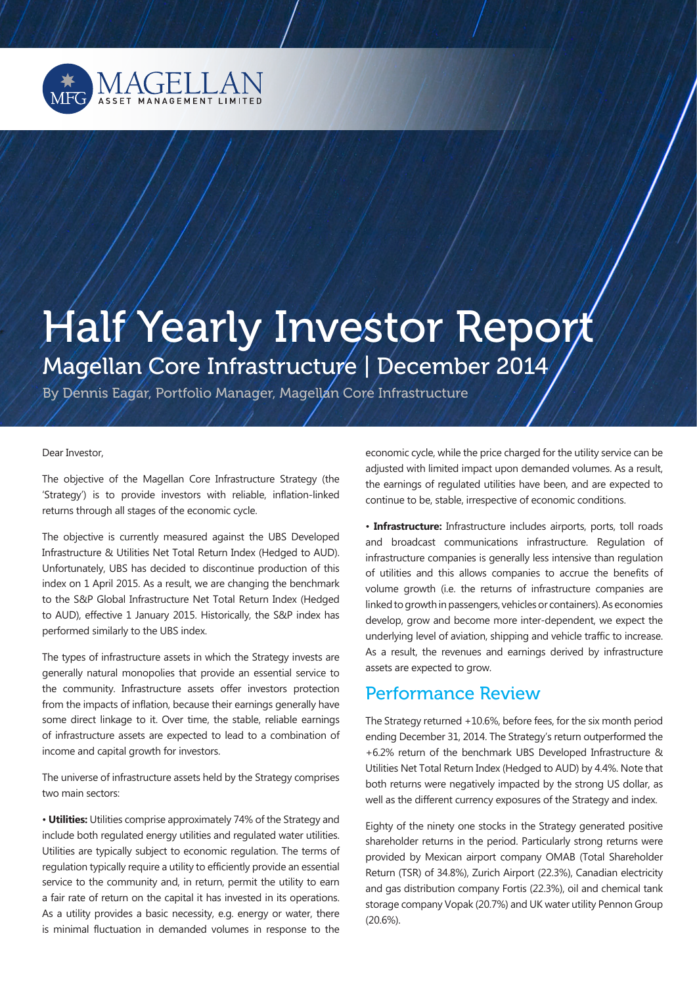

# Half Yearly Investor Report Magellan Core Infrastructure | December 2014

By Dennis Eagar, Portfolio Manager, Magellan Core Infrastructure

#### Dear Investor,

The objective of the Magellan Core Infrastructure Strategy (the 'Strategy') is to provide investors with reliable, inflation-linked returns through all stages of the economic cycle.

The objective is currently measured against the UBS Developed Infrastructure & Utilities Net Total Return Index (Hedged to AUD). Unfortunately, UBS has decided to discontinue production of this index on 1 April 2015. As a result, we are changing the benchmark to the S&P Global Infrastructure Net Total Return Index (Hedged to AUD), effective 1 January 2015. Historically, the S&P index has performed similarly to the UBS index.

The types of infrastructure assets in which the Strategy invests are generally natural monopolies that provide an essential service to the community. Infrastructure assets offer investors protection from the impacts of inflation, because their earnings generally have some direct linkage to it. Over time, the stable, reliable earnings of infrastructure assets are expected to lead to a combination of income and capital growth for investors.

The universe of infrastructure assets held by the Strategy comprises two main sectors:

• **Utilities:** Utilities comprise approximately 74% of the Strategy and include both regulated energy utilities and regulated water utilities. Utilities are typically subject to economic regulation. The terms of regulation typically require a utility to efficiently provide an essential service to the community and, in return, permit the utility to earn a fair rate of return on the capital it has invested in its operations. As a utility provides a basic necessity, e.g. energy or water, there is minimal fluctuation in demanded volumes in response to the

economic cycle, while the price charged for the utility service can be adjusted with limited impact upon demanded volumes. As a result, the earnings of regulated utilities have been, and are expected to continue to be, stable, irrespective of economic conditions.

• **Infrastructure:** Infrastructure includes airports, ports, toll roads and broadcast communications infrastructure. Regulation of infrastructure companies is generally less intensive than regulation of utilities and this allows companies to accrue the benefits of volume growth (i.e. the returns of infrastructure companies are linked to growth in passengers, vehicles or containers). As economies develop, grow and become more inter-dependent, we expect the underlying level of aviation, shipping and vehicle traffic to increase. As a result, the revenues and earnings derived by infrastructure assets are expected to grow.

## Performance Review

The Strategy returned +10.6%, before fees, for the six month period ending December 31, 2014. The Strategy's return outperformed the +6.2% return of the benchmark UBS Developed Infrastructure & Utilities Net Total Return Index (Hedged to AUD) by 4.4%. Note that both returns were negatively impacted by the strong US dollar, as well as the different currency exposures of the Strategy and index.

Eighty of the ninety one stocks in the Strategy generated positive shareholder returns in the period. Particularly strong returns were provided by Mexican airport company OMAB (Total Shareholder Return (TSR) of 34.8%), Zurich Airport (22.3%), Canadian electricity and gas distribution company Fortis (22.3%), oil and chemical tank storage company Vopak (20.7%) and UK water utility Pennon Group (20.6%).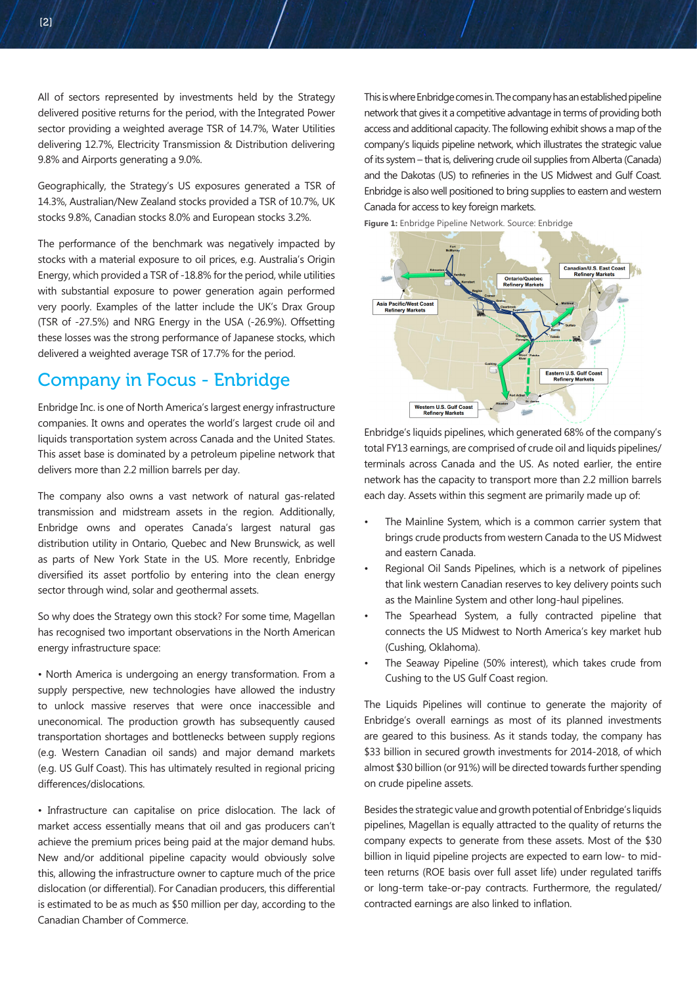All of sectors represented by investments held by the Strategy delivered positive returns for the period, with the Integrated Power sector providing a weighted average TSR of 14.7%, Water Utilities delivering 12.7%, Electricity Transmission & Distribution delivering 9.8% and Airports generating a 9.0%.

Geographically, the Strategy's US exposures generated a TSR of 14.3%, Australian/New Zealand stocks provided a TSR of 10.7%, UK stocks 9.8%, Canadian stocks 8.0% and European stocks 3.2%.

The performance of the benchmark was negatively impacted by stocks with a material exposure to oil prices, e.g. Australia's Origin Energy, which provided a TSR of -18.8% for the period, while utilities with substantial exposure to power generation again performed very poorly. Examples of the latter include the UK's Drax Group (TSR of -27.5%) and NRG Energy in the USA (-26.9%). Offsetting these losses was the strong performance of Japanese stocks, which delivered a weighted average TSR of 17.7% for the period.

# Company in Focus - Enbridge

Enbridge Inc. is one of North America's largest energy infrastructure companies. It owns and operates the world's largest crude oil and liquids transportation system across Canada and the United States. This asset base is dominated by a petroleum pipeline network that delivers more than 2.2 million barrels per day.

The company also owns a vast network of natural gas-related transmission and midstream assets in the region. Additionally, Enbridge owns and operates Canada's largest natural gas distribution utility in Ontario, Quebec and New Brunswick, as well as parts of New York State in the US. More recently, Enbridge diversified its asset portfolio by entering into the clean energy sector through wind, solar and geothermal assets.

So why does the Strategy own this stock? For some time, Magellan has recognised two important observations in the North American energy infrastructure space:

• North America is undergoing an energy transformation. From a supply perspective, new technologies have allowed the industry to unlock massive reserves that were once inaccessible and uneconomical. The production growth has subsequently caused transportation shortages and bottlenecks between supply regions (e.g. Western Canadian oil sands) and major demand markets (e.g. US Gulf Coast). This has ultimately resulted in regional pricing differences/dislocations.

• Infrastructure can capitalise on price dislocation. The lack of market access essentially means that oil and gas producers can't achieve the premium prices being paid at the major demand hubs. New and/or additional pipeline capacity would obviously solve this, allowing the infrastructure owner to capture much of the price dislocation (or differential). For Canadian producers, this differential is estimated to be as much as \$50 million per day, according to the Canadian Chamber of Commerce.

This is where Enbridge comes in. The company has an established pipeline network that gives it a competitive advantage in terms of providing both access and additional capacity. The following exhibit shows a map of the company's liquids pipeline network, which illustrates the strategic value of its system – that is, delivering crude oil supplies from Alberta (Canada) and the Dakotas (US) to refineries in the US Midwest and Gulf Coast. Enbridge is also well positioned to bring supplies to eastern and western Canada for access to key foreign markets.

**Figure 1:** Enbridge Pipeline Network. Source: Enbridge



Enbridge's liquids pipelines, which generated 68% of the company's total FY13 earnings, are comprised of crude oil and liquids pipelines/ terminals across Canada and the US. As noted earlier, the entire network has the capacity to transport more than 2.2 million barrels each day. Assets within this segment are primarily made up of:

- The Mainline System, which is a common carrier system that brings crude products from western Canada to the US Midwest and eastern Canada.
- Regional Oil Sands Pipelines, which is a network of pipelines that link western Canadian reserves to key delivery points such as the Mainline System and other long-haul pipelines.
- The Spearhead System, a fully contracted pipeline that connects the US Midwest to North America's key market hub (Cushing, Oklahoma).
- The Seaway Pipeline (50% interest), which takes crude from Cushing to the US Gulf Coast region.

The Liquids Pipelines will continue to generate the majority of Enbridge's overall earnings as most of its planned investments are geared to this business. As it stands today, the company has \$33 billion in secured growth investments for 2014-2018, of which almost \$30 billion (or 91%) will be directed towards further spending on crude pipeline assets.

Besides the strategic value and growth potential of Enbridge's liquids pipelines, Magellan is equally attracted to the quality of returns the company expects to generate from these assets. Most of the \$30 billion in liquid pipeline projects are expected to earn low- to midteen returns (ROE basis over full asset life) under regulated tariffs or long-term take-or-pay contracts. Furthermore, the regulated/ contracted earnings are also linked to inflation.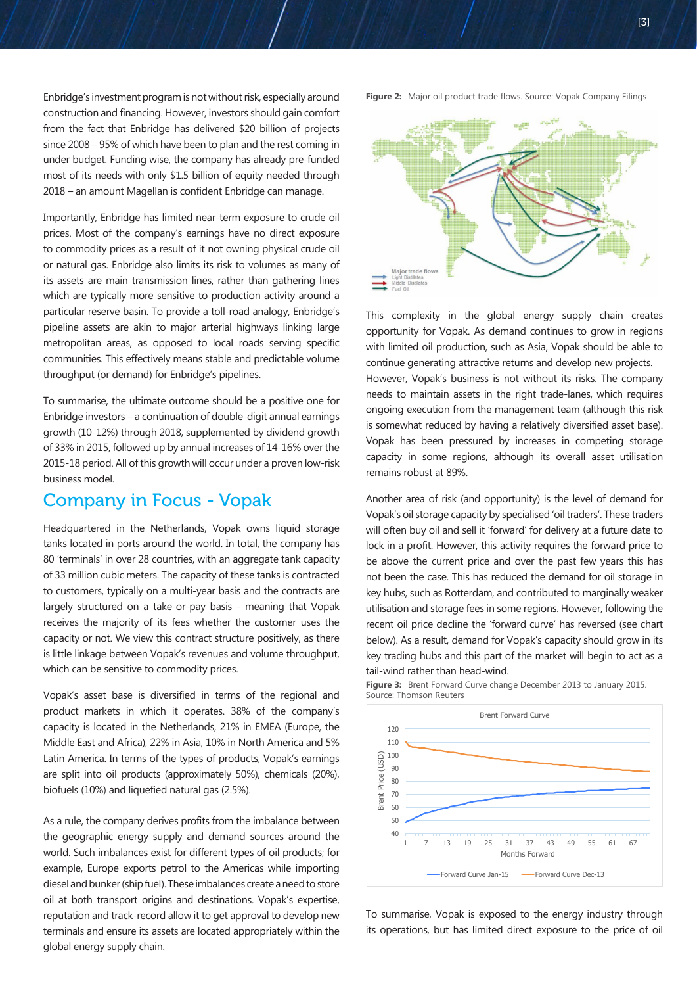Enbridge's investment program is not without risk, especially around construction and financing. However, investors should gain comfort from the fact that Enbridge has delivered \$20 billion of projects since 2008 – 95% of which have been to plan and the rest coming in under budget. Funding wise, the company has already pre-funded most of its needs with only \$1.5 billion of equity needed through 2018 – an amount Magellan is confident Enbridge can manage.

Importantly, Enbridge has limited near-term exposure to crude oil prices. Most of the company's earnings have no direct exposure to commodity prices as a result of it not owning physical crude oil or natural gas. Enbridge also limits its risk to volumes as many of its assets are main transmission lines, rather than gathering lines which are typically more sensitive to production activity around a particular reserve basin. To provide a toll-road analogy, Enbridge's pipeline assets are akin to major arterial highways linking large metropolitan areas, as opposed to local roads serving specific communities. This effectively means stable and predictable volume throughput (or demand) for Enbridge's pipelines.

To summarise, the ultimate outcome should be a positive one for Enbridge investors – a continuation of double-digit annual earnings growth (10-12%) through 2018, supplemented by dividend growth of 33% in 2015, followed up by annual increases of 14-16% over the 2015-18 period. All of this growth will occur under a proven low-risk business model.

### Company in Focus - Vopak

Headquartered in the Netherlands, Vopak owns liquid storage tanks located in ports around the world. In total, the company has 80 'terminals' in over 28 countries, with an aggregate tank capacity of 33 million cubic meters. The capacity of these tanks is contracted to customers, typically on a multi-year basis and the contracts are largely structured on a take-or-pay basis - meaning that Vopak receives the majority of its fees whether the customer uses the capacity or not. We view this contract structure positively, as there is little linkage between Vopak's revenues and volume throughput, which can be sensitive to commodity prices.

Vopak's asset base is diversified in terms of the regional and product markets in which it operates. 38% of the company's capacity is located in the Netherlands, 21% in EMEA (Europe, the Middle East and Africa), 22% in Asia, 10% in North America and 5% Latin America. In terms of the types of products, Vopak's earnings are split into oil products (approximately 50%), chemicals (20%), biofuels (10%) and liquefied natural gas (2.5%).

As a rule, the company derives profits from the imbalance between the geographic energy supply and demand sources around the world. Such imbalances exist for different types of oil products; for example, Europe exports petrol to the Americas while importing diesel and bunker (ship fuel). These imbalances create a need to store oil at both transport origins and destinations. Vopak's expertise, reputation and track-record allow it to get approval to develop new terminals and ensure its assets are located appropriately within the global energy supply chain.

**Figure 2:** Major oil product trade flows. Source: Vopak Company Filings



This complexity in the global energy supply chain creates opportunity for Vopak. As demand continues to grow in regions with limited oil production, such as Asia, Vopak should be able to continue generating attractive returns and develop new projects. However, Vopak's business is not without its risks. The company needs to maintain assets in the right trade-lanes, which requires ongoing execution from the management team (although this risk is somewhat reduced by having a relatively diversified asset base). Vopak has been pressured by increases in competing storage capacity in some regions, although its overall asset utilisation remains robust at 89%.

Another area of risk (and opportunity) is the level of demand for Vopak's oil storage capacity by specialised 'oil traders'. These traders will often buy oil and sell it 'forward' for delivery at a future date to lock in a profit. However, this activity requires the forward price to be above the current price and over the past few years this has not been the case. This has reduced the demand for oil storage in key hubs, such as Rotterdam, and contributed to marginally weaker utilisation and storage fees in some regions. However, following the recent oil price decline the 'forward curve' has reversed (see chart below). As a result, demand for Vopak's capacity should grow in its key trading hubs and this part of the market will begin to act as a tail-wind rather than head-wind.



**Figure 3:** Brent Forward Curve change December 2013 to January 2015. Source: Thomson Reuters

To summarise, Vopak is exposed to the energy industry through its operations, but has limited direct exposure to the price of oil